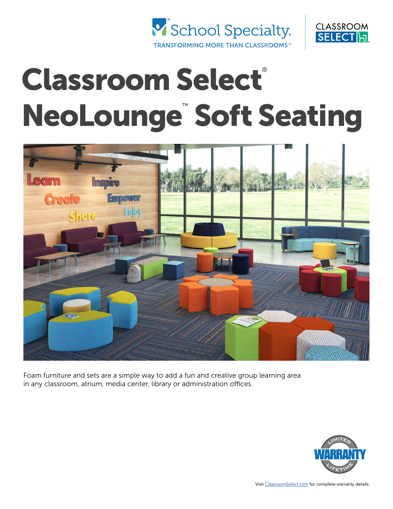



# Classroom Select® NeoLounge<sup>™</sup> Soft Seating



Foam furniture and sets are a simple way to add a fun and creative group learning area in any classroom, atrium, media center, library or administration offices.

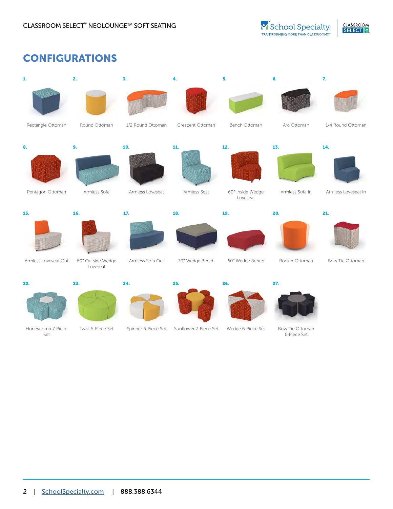## CONFIGURATIONS

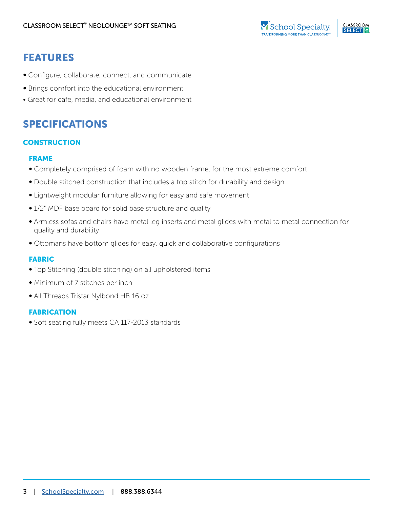## FEATURES

- Configure, collaborate, connect, and communicate
- Brings comfort into the educational environment
- Great for cafe, media, and educational environment

## SPECIFICATIONS

#### **CONSTRUCTION**

#### FRAME

- Completely comprised of foam with no wooden frame, for the most extreme comfort
- Double stitched construction that includes a top stitch for durability and design
- Lightweight modular furniture allowing for easy and safe movement
- 1/2" MDF base board for solid base structure and quality
- Armless sofas and chairs have metal leg inserts and metal glides with metal to metal connection for quality and durability
- Ottomans have bottom glides for easy, quick and collaborative configurations

#### FABRIC

- Top Stitching (double stitching) on all upholstered items
- Minimum of 7 stitches per inch
- All Threads Tristar Nylbond HB 16 oz

#### FABRICATION

• Soft seating fully meets CA 117-2013 standards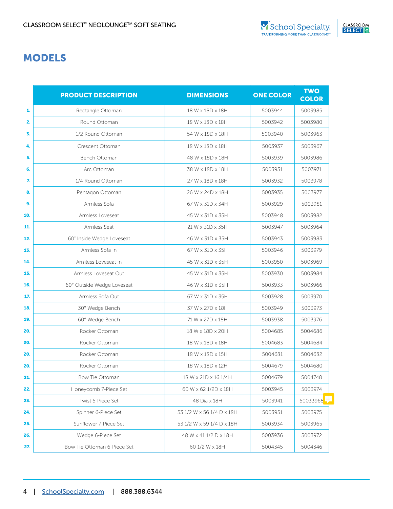## MODELS

|     | <b>PRODUCT DESCRIPTION</b>  | <b>DIMENSIONS</b>         | <b>ONE COLOR</b> | <b>TWO</b><br><b>COLOR</b> |
|-----|-----------------------------|---------------------------|------------------|----------------------------|
| 1.  | Rectangle Ottoman           | 18 W x 18D x 18H          | 5003944          | 5003985                    |
| 2.  | Round Ottoman               | 18 W x 18D x 18H          | 5003942          | 5003980                    |
| 3.  | 1/2 Round Ottoman           | 54 W x 18D x 18H          | 5003940          | 5003963                    |
| 4.  | Crescent Ottoman            | 18 W x 18D x 18H          | 5003937          | 5003967                    |
| 5.  | Bench Ottoman               | 48 W x 18D x 18H          | 5003939          | 5003986                    |
| 6.  | Arc Ottoman                 | 38 W x 18D x 18H          | 5003931          | 5003971                    |
| 7.  | 1/4 Round Ottoman           | 27 W x 18D x 18H          | 5003932          | 5003978                    |
| 8.  | Pentagon Ottoman            | 26 W x 24D x 18H          | 5003935          | 5003977                    |
| 9.  | Armless Sofa                | 67 W x 31D x 34H          | 5003929          | 5003981                    |
| 10. | Armless Loveseat            | 45 W x 31D x 35H          | 5003948          | 5003982                    |
| 11. | Armless Seat                | 21 W x 31D x 35H          | 5003947          | 5003964                    |
| 12. | 60" Inside Wedge Loveseat   | 46 W x 31D x 35H          | 5003943          | 5003983                    |
| 13. | Armless Sofa In             | 67 W x 31D x 35H          | 5003946          | 5003979                    |
| 14. | Armless Loveseat In         | 45 W x 31D x 35H          | 5003950          | 5003969                    |
| 15. | Armless Loveseat Out        | 45 W x 31D x 35H          | 5003930          | 5003984                    |
| 16. | 60° Outside Wedge Loveseat  | 46 W x 31D x 35H          | 5003933          | 5003966                    |
| 17. | Armless Sofa Out            | 67 W x 31D x 35H          | 5003928          | 5003970                    |
| 18. | 30° Wedge Bench             | 37 W x 27D x 18H          | 5003949          | 5003973                    |
| 19. | 60° Wedge Bench             | 71 W x 27D x 18H          | 5003938          | 5003976                    |
| 20. | Rocker Ottoman              | 18 W x 18D x 20H          | 5004685          | 5004686                    |
| 20. | Rocker Ottoman              | 18 W x 18D x 18H          | 5004683          | 5004684                    |
| 20. | Rocker Ottoman              | 18 W x 18D x 15H          | 5004681          | 5004682                    |
| 20. | Rocker Ottoman              | 18 W x 18D x 12H          | 5004679          | 5004680                    |
| 21. | Bow Tie Ottoman             | 18 W x 21D x 16 1/4H      | 5004679          | 5004748                    |
| 22. | Honeycomb 7-Piece Set       | 60 W x 62 1/2D x 18H      | 5003945          | 5003974                    |
| 23. | Twist 5-Piece Set           | 48 Dia x 18H              | 5003941          | 50033968                   |
| 24. | Spinner 6-Piece Set         | 53 1/2 W x 56 1/4 D x 18H | 5003951          | 5003975                    |
| 25. | Sunflower 7-Piece Set       | 53 1/2 W x 59 1/4 D x 18H | 5003934          | 5003965                    |
| 26. | Wedge 6-Piece Set           | 48 W x 41 1/2 D x 18H     | 5003936          | 5003972                    |
| 27. | Bow Tie Ottoman 6-Piece Set | 60 1/2 W x 18H            | 5004345          | 5004346                    |